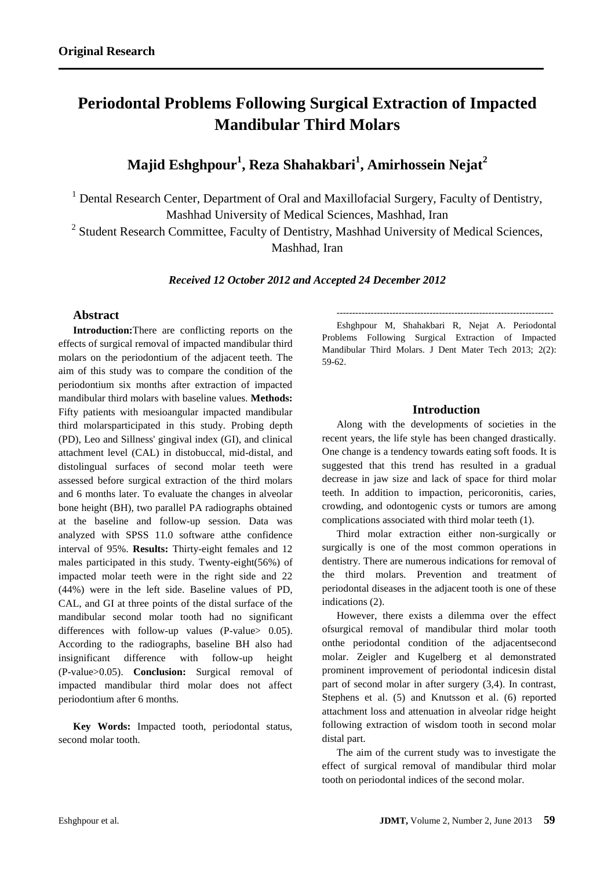# **Periodontal Problems Following Surgical Extraction of Impacted Mandibular Third Molars**

**Majid Eshghpour<sup>1</sup> , Reza Shahakbari<sup>1</sup> , Amirhossein Nejat<sup>2</sup>**

 $<sup>1</sup>$  Dental Research Center, Department of Oral and Maxillofacial Surgery, Faculty of Dentistry,</sup> Mashhad University of Medical Sciences, Mashhad, Iran

<sup>2</sup> Student Research Committee, Faculty of Dentistry, Mashhad University of Medical Sciences, Mashhad, Iran

*Received 12 October 2012 and Accepted 24 December 2012*

# **Abstract**

**Introduction:**There are conflicting reports on the effects of surgical removal of impacted mandibular third molars on the periodontium of the adjacent teeth. The aim of this study was to compare the condition of the periodontium six months after extraction of impacted mandibular third molars with baseline values. **Methods:** Fifty patients with mesioangular impacted mandibular third molarsparticipated in this study. Probing depth (PD), Leo and Sillness' gingival index (GI), and clinical attachment level (CAL) in distobuccal, mid-distal, and distolingual surfaces of second molar teeth were assessed before surgical extraction of the third molars and 6 months later. To evaluate the changes in alveolar bone height (BH), two parallel PA radiographs obtained at the baseline and follow-up session. Data was analyzed with SPSS 11.0 software atthe confidence interval of 95%. **Results:** Thirty-eight females and 12 males participated in this study. Twenty-eight(56%) of impacted molar teeth were in the right side and 22 (44%) were in the left side. Baseline values of PD, CAL, and GI at three points of the distal surface of the mandibular second molar tooth had no significant differences with follow-up values (P-value > 0.05). According to the radiographs, baseline BH also had insignificant difference with follow-up height (P-value>0.05). **Conclusion:** Surgical removal of impacted mandibular third molar does not affect periodontium after 6 months.

**Key Words:** Impacted tooth, periodontal status, second molar tooth.

---------------------------------------------------------------------- Eshghpour M, Shahakbari R, Nejat A. Periodontal Problems Following Surgical Extraction of Impacted Mandibular Third Molars. J Dent Mater Tech 2013; 2(2): 59-62.

## **Introduction**

Along with the developments of societies in the recent years, the life style has been changed drastically. One change is a tendency towards eating soft foods. It is suggested that this trend has resulted in a gradual decrease in jaw size and lack of space for third molar teeth. In addition to impaction, pericoronitis, caries, crowding, and odontogenic cysts or tumors are among complications associated with third molar teeth (1).

Third molar extraction either non-surgically or surgically is one of the most common operations in dentistry. There are numerous indications for removal of the third molars. Prevention and treatment of periodontal diseases in the adjacent tooth is one of these indications (2).

However, there exists a dilemma over the effect ofsurgical removal of mandibular third molar tooth onthe periodontal condition of the adjacentsecond molar. Zeigler and Kugelberg et al demonstrated prominent improvement of periodontal indicesin distal part of second molar in after surgery (3,4). In contrast, Stephens et al. (5) and Knutsson et al. (6) reported attachment loss and attenuation in alveolar ridge height following extraction of wisdom tooth in second molar distal part.

The aim of the current study was to investigate the effect of surgical removal of mandibular third molar tooth on periodontal indices of the second molar.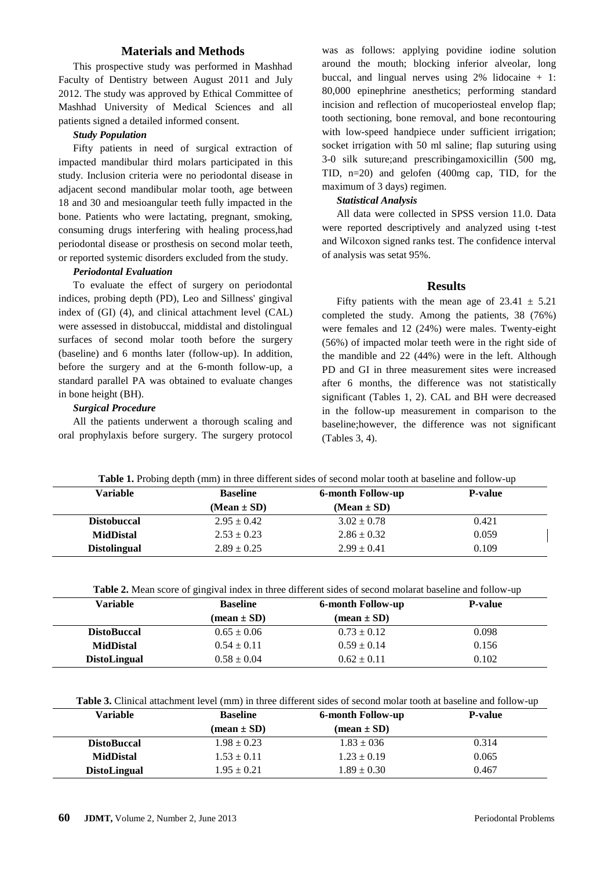### **Materials and Methods**

This prospective study was performed in Mashhad Faculty of Dentistry between August 2011 and July 2012. The study was approved by Ethical Committee of Mashhad University of Medical Sciences and all patients signed a detailed informed consent.

#### *Study Population*

Fifty patients in need of surgical extraction of impacted mandibular third molars participated in this study. Inclusion criteria were no periodontal disease in adjacent second mandibular molar tooth, age between 18 and 30 and mesioangular teeth fully impacted in the bone. Patients who were lactating, pregnant, smoking, consuming drugs interfering with healing process,had periodontal disease or prosthesis on second molar teeth, or reported systemic disorders excluded from the study.

#### *Periodontal Evaluation*

To evaluate the effect of surgery on periodontal indices, probing depth (PD), Leo and Sillness' gingival index of (GI) (4), and clinical attachment level (CAL) were assessed in distobuccal, middistal and distolingual surfaces of second molar tooth before the surgery (baseline) and 6 months later (follow-up). In addition, before the surgery and at the 6-month follow-up, a standard parallel PA was obtained to evaluate changes in bone height (BH).

#### *Surgical Procedure*

All the patients underwent a thorough scaling and oral prophylaxis before surgery. The surgery protocol was as follows: applying povidine iodine solution around the mouth; blocking inferior alveolar, long buccal, and lingual nerves using  $2\%$  lidocaine  $+1$ : 80,000 epinephrine anesthetics; performing standard incision and reflection of mucoperiosteal envelop flap; tooth sectioning, bone removal, and bone recontouring with low-speed handpiece under sufficient irrigation; socket irrigation with 50 ml saline; flap suturing using 3-0 silk suture;and prescribingamoxicillin (500 mg, TID, n=20) and gelofen (400mg cap, TID, for the maximum of 3 days) regimen.

#### *Statistical Analysis*

All data were collected in SPSS version 11.0. Data were reported descriptively and analyzed using t-test and Wilcoxon signed ranks test. The confidence interval of analysis was setat 95%.

#### **Results**

Fifty patients with the mean age of  $23.41 \pm 5.21$ completed the study. Among the patients, 38 (76%) were females and 12 (24%) were males. Twenty-eight (56%) of impacted molar teeth were in the right side of the mandible and 22 (44%) were in the left. Although PD and GI in three measurement sites were increased after 6 months, the difference was not statistically significant (Tables 1, 2). CAL and BH were decreased in the follow-up measurement in comparison to the baseline;however, the difference was not significant (Tables 3, 4).

| <b>Variable</b>     | <b>Baseline</b> | <b>6-month Follow-up</b> | <b>P-value</b> |
|---------------------|-----------------|--------------------------|----------------|
|                     | $(Mean \pm SD)$ | $(Mean \pm SD)$          |                |
| <b>Distobuccal</b>  | $2.95 \pm 0.42$ | $3.02 \pm 0.78$          | 0.421          |
| <b>MidDistal</b>    | $2.53 \pm 0.23$ | $2.86 \pm 0.32$          | 0.059          |
| <b>Distolingual</b> | $2.89 \pm 0.25$ | $2.99 \pm 0.41$          | 0.109          |

|  |  | Table 2. Mean score of gingival index in three different sides of second molarat baseline and follow-up |
|--|--|---------------------------------------------------------------------------------------------------------|
|  |  |                                                                                                         |

| Variable            | <b>Baseline</b>               | <b>6-month Follow-up</b>      | <b>P-value</b> |
|---------------------|-------------------------------|-------------------------------|----------------|
|                     | $(\text{mean} \pm \text{SD})$ | $(\text{mean} \pm \text{SD})$ |                |
| <b>DistoBuccal</b>  | $0.65 \pm 0.06$               | $0.73 \pm 0.12$               | 0.098          |
| <b>MidDistal</b>    | $0.54 \pm 0.11$               | $0.59 \pm 0.14$               | 0.156          |
| <b>DistoLingual</b> | $0.58 \pm 0.04$               | $0.62 \pm 0.11$               | 0.102          |

**Table 3.** Clinical attachment level (mm) in three different sides of second molar tooth at baseline and follow-up

| Variable            | <b>Baseline</b> | <b>6-month Follow-up</b>      | <b>P-value</b> |  |
|---------------------|-----------------|-------------------------------|----------------|--|
|                     | $mean \pm SD$   | $(\text{mean} \pm \text{SD})$ |                |  |
| <b>DistoBuccal</b>  | $1.98 \pm 0.23$ | $1.83 \pm 0.36$               | 0.314          |  |
| <b>MidDistal</b>    | $1.53 \pm 0.11$ | $1.23 \pm 0.19$               | 0.065          |  |
| <b>DistoLingual</b> | $1.95 \pm 0.21$ | $1.89 \pm 0.30$               | 0.467          |  |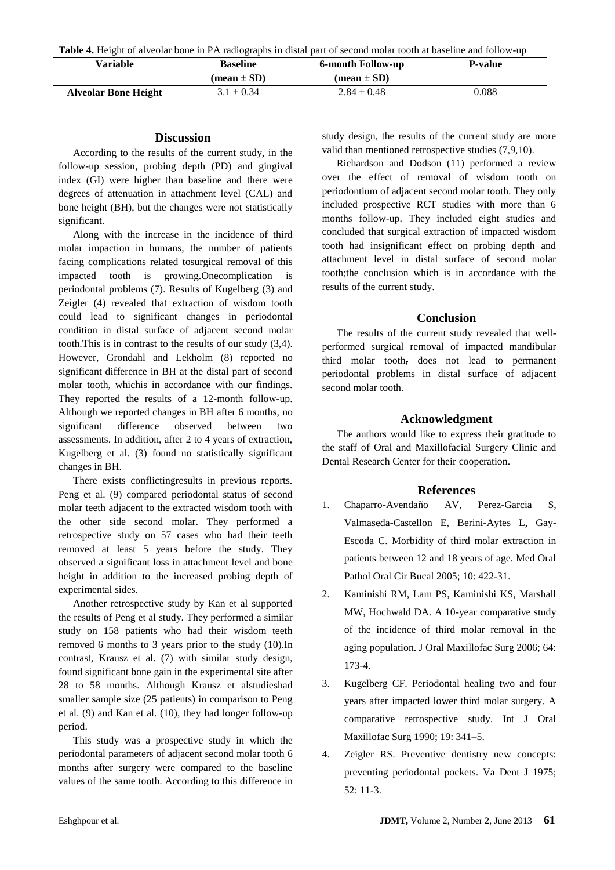**Table 4.** Height of alveolar bone in PA radiographs in distal part of second molar tooth at baseline and follow-up

| Variable                    | <b>Baseline</b><br>$mean \pm SD$ | <b>6-month Follow-up</b><br>$mean \pm SD$ | <b>P-value</b> |
|-----------------------------|----------------------------------|-------------------------------------------|----------------|
| <b>Alveolar Bone Height</b> | $3.1 \pm 0.34$                   | $2.84 \pm 0.48$                           | 0.088          |

## **Discussion**

According to the results of the current study, in the follow-up session, probing depth (PD) and gingival index (GI) were higher than baseline and there were degrees of attenuation in attachment level (CAL) and bone height (BH), but the changes were not statistically significant.

Along with the increase in the incidence of third molar impaction in humans, the number of patients facing complications related tosurgical removal of this impacted tooth is growing.Onecomplication is periodontal problems (7). Results of Kugelberg (3) and Zeigler (4) revealed that extraction of wisdom tooth could lead to significant changes in periodontal condition in distal surface of adjacent second molar tooth.This is in contrast to the results of our study (3,4). However, Grondahl and Lekholm (8) reported no significant difference in BH at the distal part of second molar tooth, whichis in accordance with our findings. They reported the results of a 12-month follow-up. Although we reported changes in BH after 6 months, no significant difference observed between two assessments. In addition, after 2 to 4 years of extraction, Kugelberg et al. (3) found no statistically significant changes in BH.

There exists conflictingresults in previous reports. Peng et al. (9) compared periodontal status of second molar teeth adjacent to the extracted wisdom tooth with the other side second molar. They performed a retrospective study on 57 cases who had their teeth removed at least 5 years before the study. They observed a significant loss in attachment level and bone height in addition to the increased probing depth of experimental sides.

Another retrospective study by Kan et al supported the results of Peng et al study. They performed a similar study on 158 patients who had their wisdom teeth removed 6 months to 3 years prior to the study (10).In contrast, Krausz et al. (7) with similar study design, found significant bone gain in the experimental site after 28 to 58 months. Although Krausz et alstudieshad smaller sample size (25 patients) in comparison to Peng et al. (9) and Kan et al. (10), they had longer follow-up period.

This study was a prospective study in which the periodontal parameters of adjacent second molar tooth 6 months after surgery were compared to the baseline values of the same tooth. According to this difference in

study design, the results of the current study are more valid than mentioned retrospective studies (7,9,10).

Richardson and Dodson (11) performed a review over the effect of removal of wisdom tooth on periodontium of adjacent second molar tooth. They only included prospective RCT studies with more than 6 months follow-up. They included eight studies and concluded that surgical extraction of impacted wisdom tooth had insignificant effect on probing depth and attachment level in distal surface of second molar tooth;the conclusion which is in accordance with the results of the current study.

# **Conclusion**

The results of the current study revealed that wellperformed surgical removal of impacted mandibular third molar tooth, does not lead to permanent periodontal problems in distal surface of adjacent second molar tooth.

# **Acknowledgment**

The authors would like to express their gratitude to the staff of Oral and Maxillofacial Surgery Clinic and Dental Research Center for their cooperation.

## **References**

- 1. Chaparro-Avendaño AV, Perez-Garcia S, Valmaseda-Castellon E, Berini-Aytes L, Gay-Escoda C. Morbidity of third molar extraction in patients between 12 and 18 years of age. Med Oral Pathol Oral Cir Bucal 2005; 10: 422-31.
- 2. Kaminishi RM, Lam PS, Kaminishi KS, Marshall MW, Hochwald DA. A 10-year comparative study of the incidence of third molar removal in the aging population. J Oral Maxillofac Surg 2006; 64: 173-4.
- 3. Kugelberg CF. Periodontal healing two and four years after impacted lower third molar surgery. A comparative retrospective study. Int J Oral Maxillofac Surg 1990; 19: 341–5.
- 4. Zeigler RS. Preventive dentistry new concepts: preventing periodontal pockets. Va Dent J 1975; 52: 11-3.